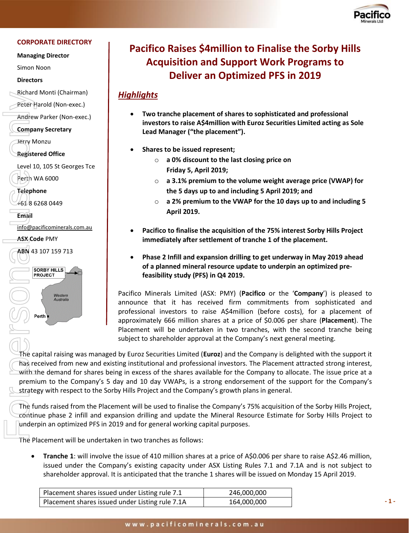

#### **CORPORATE DIRECTORY**

**Managing Director**

Simon Noon

**Directors**

Richard Monti (Chairman)

Peter Harold (Non-exec.)

Andrew Parker (Non-exec.)

**Company Secretary**

Jerry Monzu

**Registered Office**

Level 10, 105 St Georges Tce Perth WA 6000

**Telephone**

+61 8 6268 0449

**Email** 

[info@pacificominerals.com.au](mailto:info@pacificominerals.com.au)

**ASX Code** PMY

**ABN** 43 107 159 713



# **Pacifico Raises \$4million to Finalise the Sorby Hills Acquisition and Support Work Programs to Deliver an Optimized PFS in 2019**

## *Highlights*

- **Two tranche placement of shares to sophisticated and professional investors to raise A\$4million with Euroz Securities Limited acting as Sole Lead Manager ("the placement").**
- **Shares to be issued represent;**
	- o **a 0% discount to the last closing price on Friday 5, April 2019;**
	- o **a 3.1% premium to the volume weight average price (VWAP) for the 5 days up to and including 5 April 2019; and**
	- o **a 2% premium to the VWAP for the 10 days up to and including 5 April 2019.**
- **Pacifico to finalise the acquisition of the 75% interest Sorby Hills Project immediately after settlement of tranche 1 of the placement.**
- **Phase 2 Infill and expansion drilling to get underway in May 2019 ahead of a planned mineral resource update to underpin an optimized prefeasibility study (PFS) in Q4 2019.**

Pacifico Minerals Limited (ASX: PMY) (**Pacifico** or the '**Company**') is pleased to announce that it has received firm commitments from sophisticated and professional investors to raise A\$4million (before costs), for a placement of approximately 666 million shares at a price of \$0.006 per share (**Placement**). The Placement will be undertaken in two tranches, with the second tranche being subject to shareholder approval at the Company's next general meeting.

The capital raising was managed by Euroz Securities Limited (**Euroz**) and the Company is delighted with the support it has received from new and existing institutional and professional investors. The Placement attracted strong interest, with the demand for shares being in excess of the shares available for the Company to allocate. The issue price at a premium to the Company's 5 day and 10 day VWAPs, is a strong endorsement of the support for the Company's strategy with respect to the Sorby Hills Project and the Company's growth plans in general.

The funds raised from the Placement will be used to finalise the Company's 75% acquisition of the Sorby Hills Project, continue phase 2 infill and expansion drilling and update the Mineral Resource Estimate for Sorby Hills Project to underpin an optimized PFS in 2019 and for general working capital purposes.

The Placement will be undertaken in two tranches as follows:

• **Tranche 1**: will involve the issue of 410 million shares at a price of A\$0.006 per share to raise A\$2.46 million, issued under the Company's existing capacity under ASX Listing Rules 7.1 and 7.1A and is not subject to shareholder approval. It is anticipated that the tranche 1 shares will be issued on Monday 15 April 2019.

| Placement shares issued under Listing rule 7.1  | 246,000,000 |
|-------------------------------------------------|-------------|
| Placement shares issued under Listing rule 7.1A | 164,000,000 |